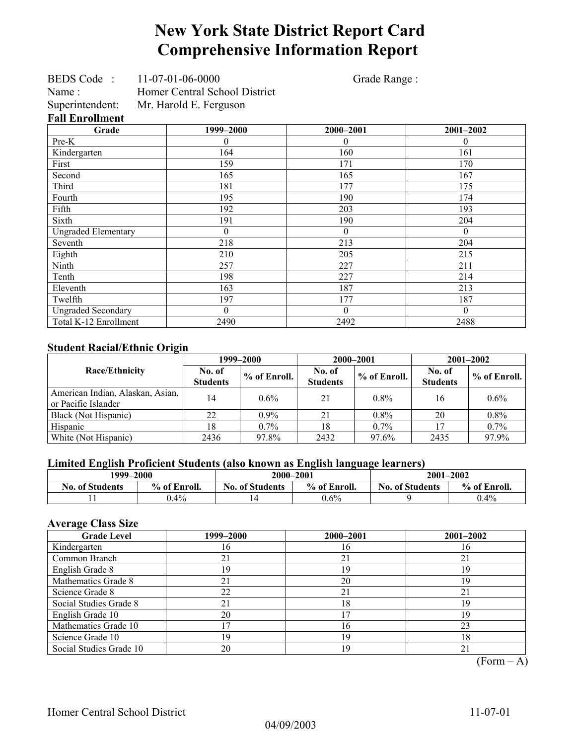# **New York State District Report Card Comprehensive Information Report**

Grade Range :

| BEDS Code:             | $11 - 07 - 01 - 06 - 0000$    |
|------------------------|-------------------------------|
| Name:                  | Homer Central School District |
| Superintendent:        | Mr. Harold E. Ferguson        |
| <b>Fall Enrollment</b> |                               |

| Grade                      | 1999-2000 | 2000-2001    | $2001 - 2002$ |
|----------------------------|-----------|--------------|---------------|
| Pre-K                      | $\theta$  | $\theta$     | $\theta$      |
| Kindergarten               | 164       | 160          | 161           |
| First                      | 159       | 171          | 170           |
| Second                     | 165       | 165          | 167           |
| Third                      | 181       | 177          | 175           |
| Fourth                     | 195       | 190          | 174           |
| Fifth                      | 192       | 203          | 193           |
| Sixth                      | 191       | 190          | 204           |
| <b>Ungraded Elementary</b> | $\theta$  | $\mathbf{0}$ | $\theta$      |
| Seventh                    | 218       | 213          | 204           |
| Eighth                     | 210       | 205          | 215           |
| Ninth                      | 257       | 227          | 211           |
| Tenth                      | 198       | 227          | 214           |
| Eleventh                   | 163       | 187          | 213           |
| Twelfth                    | 197       | 177          | 187           |
| <b>Ungraded Secondary</b>  | $\Omega$  | $\theta$     | $\theta$      |
| Total K-12 Enrollment      | 2490      | 2492         | 2488          |

### **Student Racial/Ethnic Origin**

| ັ                                                       | 1999–2000                 |              |                           | 2000-2001    | $2001 - 2002$             |                |
|---------------------------------------------------------|---------------------------|--------------|---------------------------|--------------|---------------------------|----------------|
| Race/Ethnicity                                          | No. of<br><b>Students</b> | % of Enroll. | No. of<br><b>Students</b> | % of Enroll. | No. of<br><b>Students</b> | $%$ of Enroll. |
| American Indian, Alaskan, Asian,<br>or Pacific Islander | 14                        | $0.6\%$      | 21                        | $0.8\%$      | 16                        | $0.6\%$        |
| Black (Not Hispanic)                                    | 22                        | $0.9\%$      | 21                        | $0.8\%$      | 20                        | $0.8\%$        |
| Hispanic                                                | 18                        | $0.7\%$      | 18                        | $0.7\%$      |                           | $0.7\%$        |
| White (Not Hispanic)                                    | 2436                      | 97.8%        | 2432                      | 97.6%        | 2435                      | 97.9%          |

### **Limited English Proficient Students (also known as English language learners)**

| 1999–2000              |              | 2000-2001              |              | $2001 - 2002$          |              |  |
|------------------------|--------------|------------------------|--------------|------------------------|--------------|--|
| <b>No. of Students</b> | % of Enroll. | <b>No. of Students</b> | % of Enroll. | <b>No. of Students</b> | % of Enroll. |  |
|                        | $0.4\%$      | 14                     | $0.6\%$      |                        | $0.4\%$      |  |

### **Average Class Size**

| <b>Grade Level</b>      | 1999–2000 | 2000-2001 | 2001-2002 |
|-------------------------|-----------|-----------|-----------|
| Kindergarten            | 16        | 16        | Iб        |
| Common Branch           | 21        | 21        | 21        |
| English Grade 8         | 19        | 19        | 19        |
| Mathematics Grade 8     | 21        | 20        | 19        |
| Science Grade 8         | 22        | 21        | 21        |
| Social Studies Grade 8  | 21        | 18        | 19        |
| English Grade 10        | 20        |           | 19        |
| Mathematics Grade 10    |           | 16        | 23        |
| Science Grade 10        | 19        | 19        | 18        |
| Social Studies Grade 10 | 20        | 19        | 21        |

 $(Form – A)$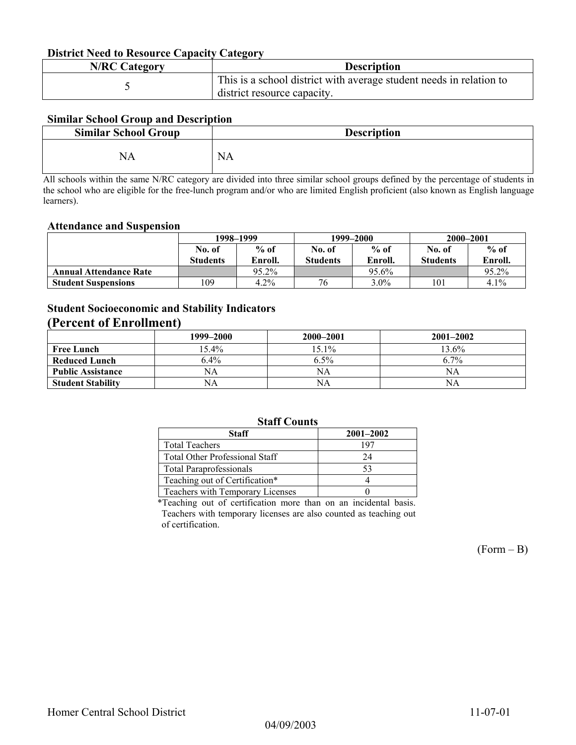#### **District Need to Resource Capacity Category**

| <b>N/RC Category</b> | <b>Description</b>                                                                                 |
|----------------------|----------------------------------------------------------------------------------------------------|
|                      | This is a school district with average student needs in relation to<br>district resource capacity. |

### **Similar School Group and Description**

| <b>Similar School Group</b> | <b>Description</b> |
|-----------------------------|--------------------|
| NА                          | <b>NA</b>          |

All schools within the same N/RC category are divided into three similar school groups defined by the percentage of students in the school who are eligible for the free-lunch program and/or who are limited English proficient (also known as English language learners).

#### **Attendance and Suspension**

|                               | 1998–1999       |         |                 | 1999–2000 | 2000-2001       |         |
|-------------------------------|-----------------|---------|-----------------|-----------|-----------------|---------|
|                               | No. of          | $%$ of  | No. of          | $%$ of    | No. of          | $%$ of  |
|                               | <b>Students</b> | Enroll. | <b>Students</b> | Enroll.   | <b>Students</b> | Enroll. |
| <b>Annual Attendance Rate</b> |                 | 95.2%   |                 | 95.6%     |                 | 95.2%   |
| <b>Student Suspensions</b>    | 109             | 4.2%    | 76              | $3.0\%$   | 101             | 4.1%    |

## **Student Socioeconomic and Stability Indicators**

### **(Percent of Enrollment)**

|                          | 1999–2000 | 2000-2001 | $2001 - 2002$ |
|--------------------------|-----------|-----------|---------------|
| <b>Free Lunch</b>        | $15.4\%$  | 15.1%     | $13.6\%$      |
| <b>Reduced Lunch</b>     | $6.4\%$   | $6.5\%$   | 6.7%          |
| <b>Public Assistance</b> | NA        | NA        | NA            |
| <b>Student Stability</b> | NA        | NA        | NA            |

### **Staff Counts**

| Staff                                 | $2001 - 2002$ |  |  |  |  |  |
|---------------------------------------|---------------|--|--|--|--|--|
| <b>Total Teachers</b>                 | 197           |  |  |  |  |  |
| <b>Total Other Professional Staff</b> | 24            |  |  |  |  |  |
| <b>Total Paraprofessionals</b>        | 53            |  |  |  |  |  |
| Teaching out of Certification*        |               |  |  |  |  |  |
| Teachers with Temporary Licenses      |               |  |  |  |  |  |
|                                       |               |  |  |  |  |  |

\*Teaching out of certification more than on an incidental basis. Teachers with temporary licenses are also counted as teaching out of certification.

 $(Form - B)$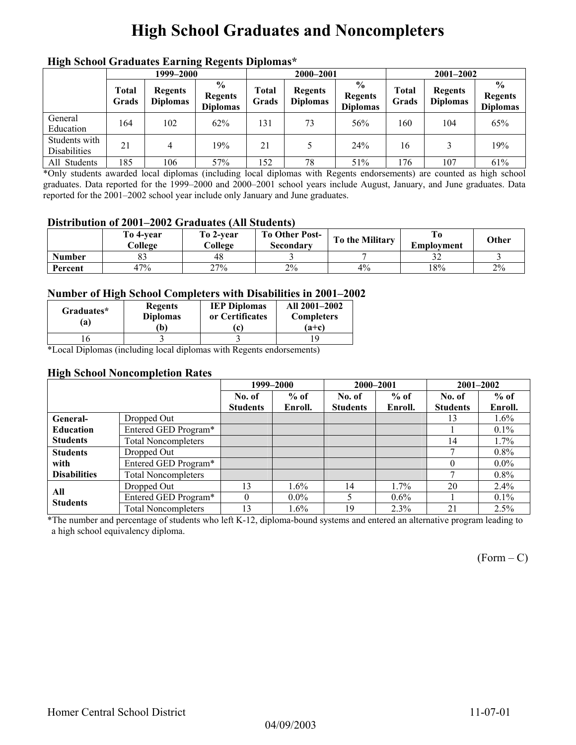# **High School Graduates and Noncompleters**

|                                      | men senoor Graaaates Larming regents Dipromas<br>1999–2000 |                                   |                                                    |                | 2000-2001                         |                                                    |                | $2001 - 2002$                     |                                                    |  |
|--------------------------------------|------------------------------------------------------------|-----------------------------------|----------------------------------------------------|----------------|-----------------------------------|----------------------------------------------------|----------------|-----------------------------------|----------------------------------------------------|--|
|                                      | <b>Total</b><br>Grads                                      | <b>Regents</b><br><b>Diplomas</b> | $\frac{6}{9}$<br><b>Regents</b><br><b>Diplomas</b> | Total<br>Grads | <b>Regents</b><br><b>Diplomas</b> | $\frac{0}{0}$<br><b>Regents</b><br><b>Diplomas</b> | Total<br>Grads | <b>Regents</b><br><b>Diplomas</b> | $\frac{0}{0}$<br><b>Regents</b><br><b>Diplomas</b> |  |
| General<br>Education                 | 164                                                        | 102                               | 62%                                                | 131            | 73                                | 56%                                                | 160            | 104                               | 65%                                                |  |
| Students with<br><b>Disabilities</b> | 21                                                         | 4                                 | 19%                                                | 21             |                                   | 24%                                                | 16             |                                   | 19%                                                |  |
| All Students                         | 185                                                        | 106                               | 57%                                                | 152            | 78                                | 51%                                                | 176            | 107                               | 61%                                                |  |

### **High School Graduates Earning Regents Diplomas\***

\*Only students awarded local diplomas (including local diplomas with Regents endorsements) are counted as high school graduates. Data reported for the 1999–2000 and 2000–2001 school years include August, January, and June graduates. Data reported for the 2001–2002 school year include only January and June graduates.

#### **Distribution of 2001–2002 Graduates (All Students)**

|               | To 4-vear<br>College | To 2-vear<br>College | <b>To Other Post-</b><br>Secondary | To the Military | Emplovment | Other |
|---------------|----------------------|----------------------|------------------------------------|-----------------|------------|-------|
| <b>Number</b> | ບມ                   | 48                   |                                    |                 | ے ر        |       |
| Percent       | 47%                  | 27%                  | 2%                                 | 4%              | 18%        | 2%    |

#### **Number of High School Completers with Disabilities in 2001–2002**

| Graduates*<br>(a) | <b>Regents</b><br><b>Diplomas</b><br>Ъ) | <b>IEP Diplomas</b><br>or Certificates<br>c | All 2001-2002<br><b>Completers</b><br>$(a+c)$ |
|-------------------|-----------------------------------------|---------------------------------------------|-----------------------------------------------|
|                   |                                         |                                             |                                               |

\*Local Diplomas (including local diplomas with Regents endorsements)

#### **High School Noncompletion Rates**

|                        |                            |                 | 1999-2000 |                 | 2000-2001 | 2001-2002       |         |
|------------------------|----------------------------|-----------------|-----------|-----------------|-----------|-----------------|---------|
|                        |                            | No. of          | $%$ of    | No. of          | $%$ of    | No. of          | $%$ of  |
|                        |                            | <b>Students</b> | Enroll.   | <b>Students</b> | Enroll.   | <b>Students</b> | Enroll. |
| General-               | Dropped Out                |                 |           |                 |           | 13              | $1.6\%$ |
| <b>Education</b>       | Entered GED Program*       |                 |           |                 |           |                 | $0.1\%$ |
| <b>Students</b>        | <b>Total Noncompleters</b> |                 |           |                 |           | 14              | 1.7%    |
| <b>Students</b>        | Dropped Out                |                 |           |                 |           | π               | $0.8\%$ |
| with                   | Entered GED Program*       |                 |           |                 |           | $\theta$        | $0.0\%$ |
| <b>Disabilities</b>    | <b>Total Noncompleters</b> |                 |           |                 |           | г.              | $0.8\%$ |
|                        | Dropped Out                | 13              | 1.6%      | 14              | $1.7\%$   | 20              | $2.4\%$ |
| All<br><b>Students</b> | Entered GED Program*       | $\Omega$        | $0.0\%$   |                 | $0.6\%$   |                 | $0.1\%$ |
|                        | <b>Total Noncompleters</b> | 13              | $1.6\%$   | 19              | $2.3\%$   | 21              | $2.5\%$ |

\*The number and percentage of students who left K-12, diploma-bound systems and entered an alternative program leading to a high school equivalency diploma.

 $(Form - C)$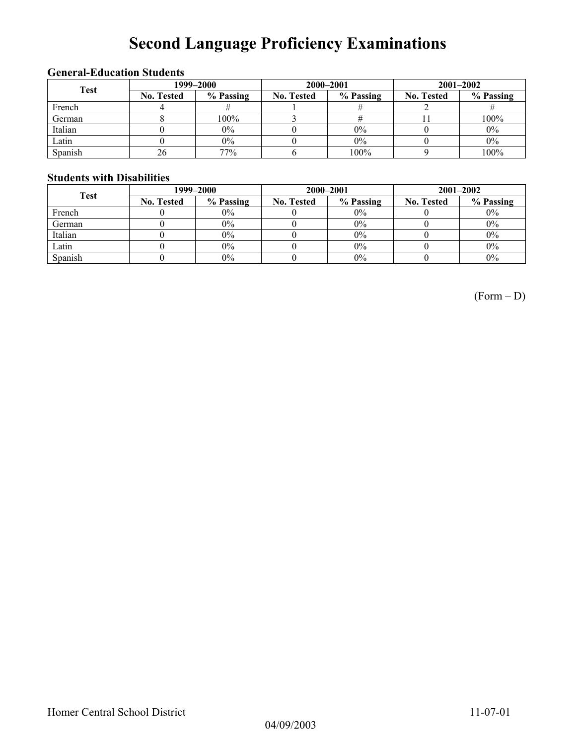# **Second Language Proficiency Examinations**

### **General-Education Students**

| <b>Test</b> | 1999–2000         |           |                   | 2000-2001 | $2001 - 2002$     |           |  |
|-------------|-------------------|-----------|-------------------|-----------|-------------------|-----------|--|
|             | <b>No. Tested</b> | % Passing | <b>No. Tested</b> | % Passing | <b>No. Tested</b> | % Passing |  |
| French      |                   |           |                   |           |                   |           |  |
| German      |                   | 100%      |                   |           |                   | 100%      |  |
| Italian     |                   | 0%        |                   | 0%        |                   | $0\%$     |  |
| Latin       |                   | $0\%$     |                   | 0%        |                   | $0\%$     |  |
| Spanish     | 26                | 77%       |                   | 100%      |                   | 100%      |  |

### **Students with Disabilities**

| <b>Test</b> | 1999–2000         |           |                   | 2000-2001 | $2001 - 2002$     |           |  |
|-------------|-------------------|-----------|-------------------|-----------|-------------------|-----------|--|
|             | <b>No. Tested</b> | % Passing | <b>No. Tested</b> | % Passing | <b>No. Tested</b> | % Passing |  |
| French      |                   | $0\%$     |                   | $0\%$     |                   | $0\%$     |  |
| German      |                   | $0\%$     |                   | $0\%$     |                   | $0\%$     |  |
| Italian     |                   | $0\%$     |                   | $0\%$     |                   | $0\%$     |  |
| Latin       |                   | $0\%$     |                   | $0\%$     |                   | $0\%$     |  |
| Spanish     |                   | $0\%$     |                   | $0\%$     |                   | $0\%$     |  |

(Form – D)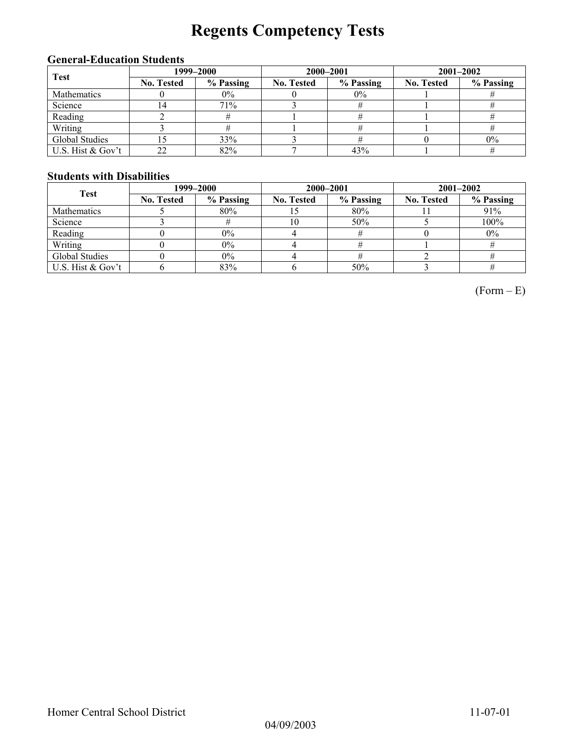# **Regents Competency Tests**

### **General-Education Students**

| <b>Test</b>        | 1999–2000         |           |            | 2000-2001 | $2001 - 2002$     |           |
|--------------------|-------------------|-----------|------------|-----------|-------------------|-----------|
|                    | <b>No. Tested</b> | % Passing | No. Tested | % Passing | <b>No. Tested</b> | % Passing |
| <b>Mathematics</b> |                   | 0%        |            | $0\%$     |                   |           |
| Science            | .4                | 71%       |            |           |                   |           |
| Reading            |                   |           |            |           |                   |           |
| Writing            |                   |           |            |           |                   |           |
| Global Studies     |                   | 33%       |            |           |                   | $0\%$     |
| U.S. Hist & Gov't  | 22                | 82%       |            | 43%       |                   |           |

### **Students with Disabilities**

| <b>Test</b>       | 1999–2000         |           |                   | 2000-2001 | $2001 - 2002$     |           |  |
|-------------------|-------------------|-----------|-------------------|-----------|-------------------|-----------|--|
|                   | <b>No. Tested</b> | % Passing | <b>No. Tested</b> | % Passing | <b>No. Tested</b> | % Passing |  |
| Mathematics       |                   | 80%       |                   | 80%       |                   | 91%       |  |
| Science           |                   |           | 10                | 50%       |                   | 100%      |  |
| Reading           |                   | $0\%$     |                   |           |                   | $0\%$     |  |
| Writing           |                   | $0\%$     |                   |           |                   |           |  |
| Global Studies    |                   | $0\%$     |                   |           |                   |           |  |
| U.S. Hist & Gov't |                   | 83%       |                   | 50%       |                   |           |  |

 $(Form - E)$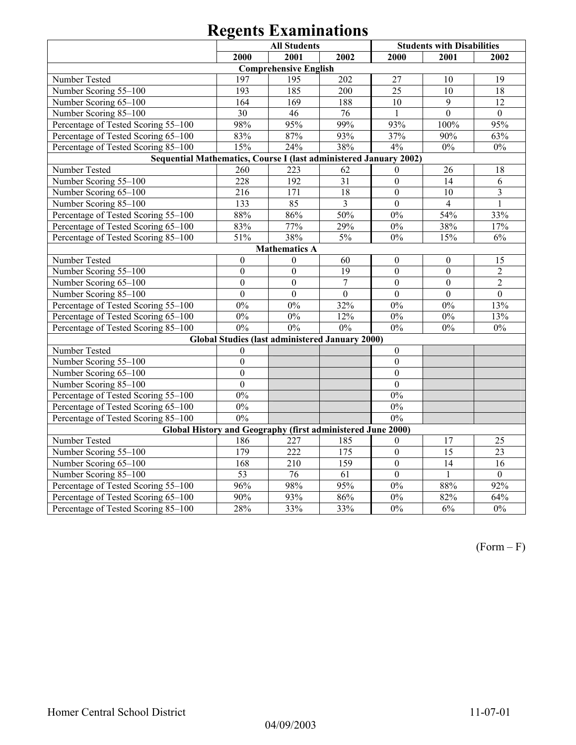|                                                                   |                  | <b>All Students</b>          |                                                 |                  | <b>Students with Disabilities</b> |                         |  |  |
|-------------------------------------------------------------------|------------------|------------------------------|-------------------------------------------------|------------------|-----------------------------------|-------------------------|--|--|
|                                                                   | 2000             | 2001                         | 2002                                            | 2000             | 2001                              | 2002                    |  |  |
|                                                                   |                  | <b>Comprehensive English</b> |                                                 |                  |                                   |                         |  |  |
| Number Tested                                                     | 197              | 195                          | 202                                             | 27               | 10                                | 19                      |  |  |
| Number Scoring 55-100                                             | 193              | 185                          | 200                                             | 25               | 10                                | 18                      |  |  |
| Number Scoring 65-100                                             | 164              | 169                          | 188                                             | 10               | 9                                 | 12                      |  |  |
| Number Scoring 85-100                                             | 30               | 46                           | 76                                              | $\mathbf{1}$     | $\mathbf{0}$                      | $\boldsymbol{0}$        |  |  |
| Percentage of Tested Scoring 55-100                               | 98%              | 95%                          | 99%                                             | 93%              | 100%                              | 95%                     |  |  |
| Percentage of Tested Scoring 65-100                               | 83%              | 87%                          | 93%                                             | 37%              | 90%                               | 63%                     |  |  |
| Percentage of Tested Scoring 85-100                               | 15%              | 24%                          | 38%                                             | 4%               | $0\%$                             | $0\%$                   |  |  |
| Sequential Mathematics, Course I (last administered January 2002) |                  |                              |                                                 |                  |                                   |                         |  |  |
| Number Tested                                                     | 260              | 223                          | 62                                              | $\theta$         | 26                                | 18                      |  |  |
| Number Scoring 55-100                                             | 228              | 192                          | 31                                              | $\mathbf{0}$     | 14                                | 6                       |  |  |
| Number Scoring 65-100                                             | 216              | 171                          | 18                                              | $\boldsymbol{0}$ | 10                                | $\overline{\mathbf{3}}$ |  |  |
| Number Scoring 85-100                                             | 133              | 85                           | $\overline{3}$                                  | $\boldsymbol{0}$ | $\overline{4}$                    | $\mathbf{1}$            |  |  |
| Percentage of Tested Scoring 55-100                               | 88%              | 86%                          | $50\%$                                          | $0\%$            | 54%                               | 33%                     |  |  |
| Percentage of Tested Scoring 65-100                               | 83%              | 77%                          | 29%                                             | $0\%$            | 38%                               | 17%                     |  |  |
| Percentage of Tested Scoring 85-100                               | 51%              | 38%                          | 5%                                              | $0\%$            | 15%                               | 6%                      |  |  |
| <b>Mathematics A</b>                                              |                  |                              |                                                 |                  |                                   |                         |  |  |
| Number Tested                                                     | $\boldsymbol{0}$ | $\theta$                     | 60                                              | $\boldsymbol{0}$ | $\boldsymbol{0}$                  | 15                      |  |  |
| Number Scoring 55-100                                             | $\overline{0}$   | $\overline{0}$               | $\overline{19}$                                 | $\boldsymbol{0}$ | $\mathbf{0}$                      | $\overline{2}$          |  |  |
| Number Scoring 65-100                                             | $\mathbf{0}$     | $\overline{0}$               | $\overline{7}$                                  | $\mathbf{0}$     | $\boldsymbol{0}$                  | $\overline{2}$          |  |  |
| Number Scoring 85-100                                             | $\mathbf{0}$     | $\overline{0}$               | $\boldsymbol{0}$                                | $\boldsymbol{0}$ | $\mathbf{0}$                      | $\mathbf{0}$            |  |  |
| Percentage of Tested Scoring 55-100                               | $0\%$            | $0\%$                        | 32%                                             | $0\%$            | $0\%$                             | 13%                     |  |  |
| Percentage of Tested Scoring 65-100                               | $0\%$            | $0\%$                        | 12%                                             | $0\%$            | $0\%$                             | 13%                     |  |  |
| Percentage of Tested Scoring 85-100                               | 0%               | 0%                           | 0%                                              | $0\%$            | $0\%$                             | $0\%$                   |  |  |
|                                                                   |                  |                              | Global Studies (last administered January 2000) |                  |                                   |                         |  |  |
| Number Tested                                                     | $\mathbf{0}$     |                              |                                                 | $\mathbf{0}$     |                                   |                         |  |  |
| Number Scoring 55-100                                             | $\mathbf{0}$     |                              |                                                 | $\boldsymbol{0}$ |                                   |                         |  |  |
| Number Scoring 65-100                                             | $\mathbf{0}$     |                              |                                                 | $\boldsymbol{0}$ |                                   |                         |  |  |
| Number Scoring 85-100                                             | $\overline{0}$   |                              |                                                 | $\overline{0}$   |                                   |                         |  |  |
| Percentage of Tested Scoring 55-100                               | $\overline{0\%}$ |                              |                                                 | $0\%$            |                                   |                         |  |  |
| Percentage of Tested Scoring 65-100                               | $0\%$            |                              |                                                 | $0\%$            |                                   |                         |  |  |
| Percentage of Tested Scoring 85-100                               | 0%               |                              |                                                 | 0%               |                                   |                         |  |  |
| Global History and Geography (first administered June 2000)       |                  |                              |                                                 |                  |                                   |                         |  |  |
| Number Tested                                                     | 186              | 227                          | 185                                             | $\mathbf{0}$     | 17                                | 25                      |  |  |
| Number Scoring 55-100                                             | 179              | 222                          | 175                                             | $\boldsymbol{0}$ | 15                                | $\overline{23}$         |  |  |
| Number Scoring 65-100                                             | 168              | 210                          | $\overline{159}$                                | $\overline{0}$   | $\overline{14}$                   | $\overline{16}$         |  |  |
| Number Scoring 85-100                                             | 53               | 76                           | $\overline{61}$                                 | $\overline{0}$   | $\mathbf{1}$                      | $\overline{0}$          |  |  |
| Percentage of Tested Scoring 55-100                               | 96%              | 98%                          | 95%                                             | 0%               | 88%                               | 92%                     |  |  |
| Percentage of Tested Scoring 65-100                               | 90%              | 93%                          | 86%                                             | $0\%$            | 82%                               | 64%                     |  |  |
| Percentage of Tested Scoring 85-100                               | $\frac{1}{28\%}$ | 33%                          | 33%                                             | 0%               | 6%                                | 0%                      |  |  |

(Form – F)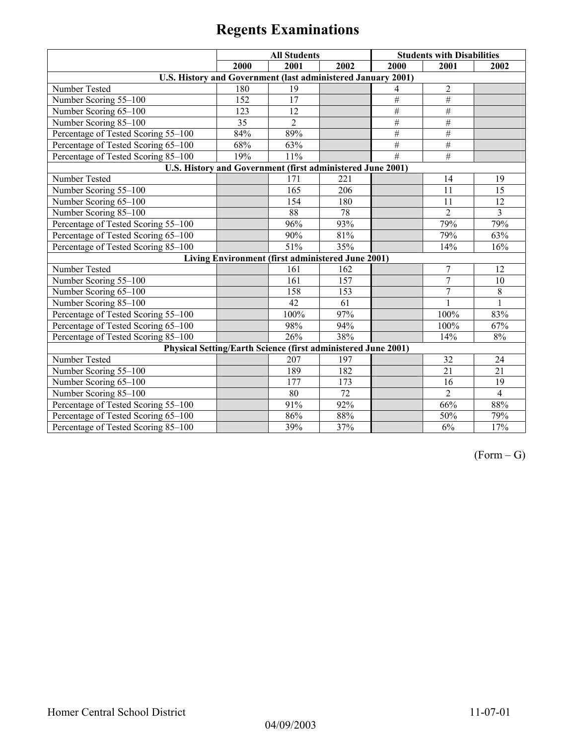|                                                                      |      | <b>All Students</b>                               |      |                 | <b>Students with Disabilities</b> |                |
|----------------------------------------------------------------------|------|---------------------------------------------------|------|-----------------|-----------------------------------|----------------|
|                                                                      | 2000 | 2001                                              | 2002 | 2000            | 2001                              | 2002           |
| U.S. History and Government (last administered January 2001)         |      |                                                   |      |                 |                                   |                |
| Number Tested                                                        | 180  | 19                                                |      | 4               | $\overline{2}$                    |                |
| Number Scoring 55-100                                                | 152  | 17                                                |      | #               | #                                 |                |
| Number Scoring 65-100                                                | 123  | 12                                                |      | $\frac{1}{2}$   | #                                 |                |
| Number Scoring 85-100                                                | 35   | $\overline{2}$                                    |      | #               | $\#$                              |                |
| Percentage of Tested Scoring 55-100                                  | 84%  | 89%                                               |      | $#$             | $\#$                              |                |
| Percentage of Tested Scoring 65-100                                  | 68%  | 63%                                               |      | $\overline{\#}$ | $\#$                              |                |
| Percentage of Tested Scoring 85-100                                  | 19%  | 11%                                               |      | #               | $\overline{\#}$                   |                |
| U.S. History and Government (first administered June 2001)           |      |                                                   |      |                 |                                   |                |
| Number Tested                                                        |      | 171                                               | 221  |                 | 14                                | 19             |
| Number Scoring 55-100                                                |      | 165                                               | 206  |                 | 11                                | 15             |
| Number Scoring 65-100                                                |      | 154                                               | 180  |                 | 11                                | 12             |
| Number Scoring 85-100                                                |      | 88                                                | 78   |                 | $\overline{2}$                    | $\overline{3}$ |
| Percentage of Tested Scoring 55-100                                  |      | 96%                                               | 93%  |                 | 79%                               | 79%            |
| Percentage of Tested Scoring 65-100                                  |      | 90%                                               | 81%  |                 | 79%                               | 63%            |
| Percentage of Tested Scoring 85-100                                  |      | 51%                                               | 35%  |                 | 14%                               | 16%            |
|                                                                      |      | Living Environment (first administered June 2001) |      |                 |                                   |                |
| Number Tested                                                        |      | 161                                               | 162  |                 | $\overline{7}$                    | 12             |
| Number Scoring 55-100                                                |      | 161                                               | 157  |                 | $\overline{7}$                    | 10             |
| Number Scoring 65-100                                                |      | 158                                               | 153  |                 | $\overline{7}$                    | 8              |
| Number Scoring 85-100                                                |      | 42                                                | 61   |                 |                                   | $\mathbf{1}$   |
| Percentage of Tested Scoring 55-100                                  |      | 100%                                              | 97%  |                 | 100%                              | 83%            |
| Percentage of Tested Scoring 65-100                                  |      | 98%                                               | 94%  |                 | 100%                              | 67%            |
| Percentage of Tested Scoring 85-100                                  |      | 26%                                               | 38%  |                 | 14%                               | $8\%$          |
| <b>Physical Setting/Earth Science (first administered June 2001)</b> |      |                                                   |      |                 |                                   |                |
| Number Tested                                                        |      | 207                                               | 197  |                 | 32                                | 24             |
| Number Scoring 55-100                                                |      | 189                                               | 182  |                 | 21                                | 21             |
| Number Scoring 65-100                                                |      | 177                                               | 173  |                 | 16                                | 19             |
| Number Scoring 85-100                                                |      | 80                                                | 72   |                 | $\overline{2}$                    | $\overline{4}$ |
| Percentage of Tested Scoring 55-100                                  |      | 91%                                               | 92%  |                 | 66%                               | 88%            |
| Percentage of Tested Scoring 65-100                                  |      | 86%                                               | 88%  |                 | 50%                               | 79%            |
| Percentage of Tested Scoring 85-100                                  |      | 39%                                               | 37%  |                 | 6%                                | 17%            |

 $(Form - G)$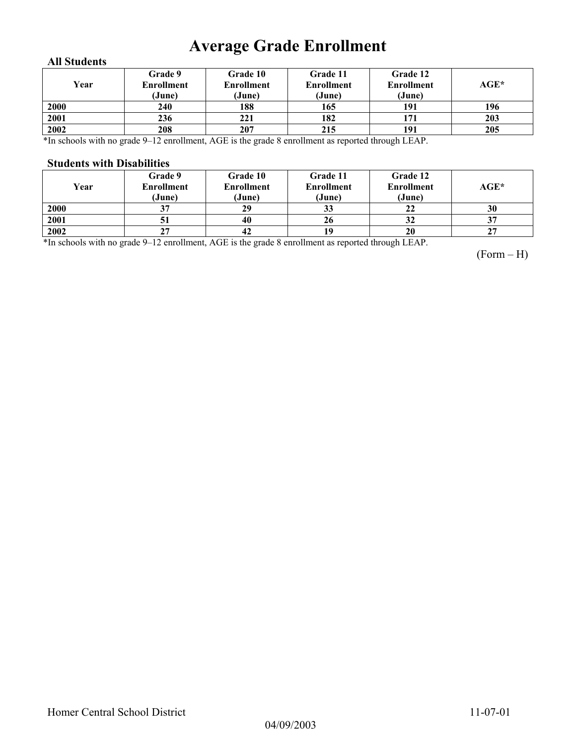# **Average Grade Enrollment**

### **All Students**

| Year | Grade 9<br><b>Enrollment</b><br>(June) | Grade 10<br>Enrollment<br>(June) | Grade 11<br><b>Enrollment</b><br>(June) | Grade 12<br><b>Enrollment</b><br>(June) | AGE* |
|------|----------------------------------------|----------------------------------|-----------------------------------------|-----------------------------------------|------|
| 2000 | 240                                    | 188                              | 165                                     | 191                                     | 196  |
| 2001 | 236                                    | 221                              | 182                                     | 171                                     | 203  |
| 2002 | 208                                    | 207                              | 215                                     | 191                                     | 205  |

\*In schools with no grade 9–12 enrollment, AGE is the grade 8 enrollment as reported through LEAP.

#### **Students with Disabilities**

| Year | Grade 9<br><b>Enrollment</b><br>(June) | <b>Grade 10</b><br><b>Enrollment</b><br>(June) | Grade 11<br><b>Enrollment</b><br>(June) | Grade 12<br><b>Enrollment</b><br>(June) | AGE* |
|------|----------------------------------------|------------------------------------------------|-----------------------------------------|-----------------------------------------|------|
| 2000 | 37                                     | 29                                             | 33                                      | 22                                      | 30   |
| 2001 | 51                                     | 40                                             | 26                                      | 32                                      | 37   |
| 2002 | 27                                     | 42                                             | 19                                      | 20                                      | 27   |

\*In schools with no grade 9–12 enrollment, AGE is the grade 8 enrollment as reported through LEAP.

(Form – H)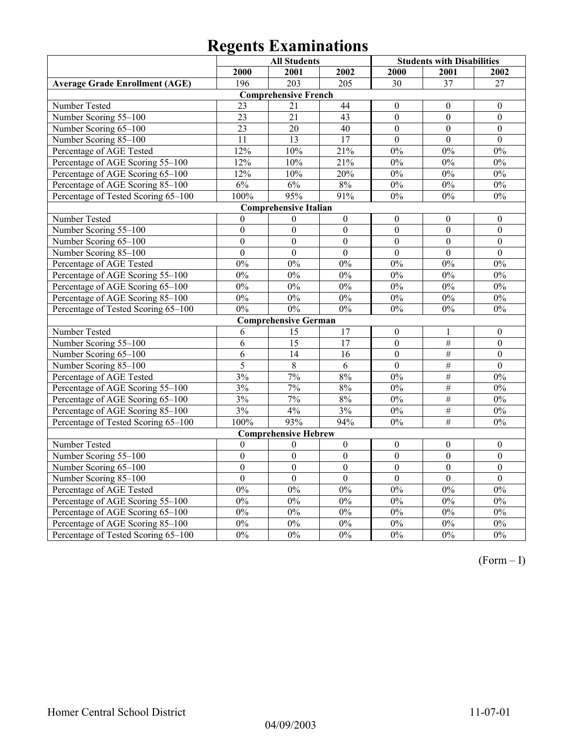|                                       |                  | <b>All Students</b>          |                  | <b>Students with Disabilities</b> |                  |                  |
|---------------------------------------|------------------|------------------------------|------------------|-----------------------------------|------------------|------------------|
|                                       | 2000             | 2001                         | 2002             | 2000                              | 2001             | 2002             |
| <b>Average Grade Enrollment (AGE)</b> | 196              | 203                          | 205              | 30                                | 37               | 27               |
|                                       |                  | <b>Comprehensive French</b>  |                  |                                   |                  |                  |
| Number Tested                         | 23               | 21                           | 44               | $\mathbf{0}$                      | $\mathbf{0}$     | $\mathbf{0}$     |
| Number Scoring 55-100                 | $\overline{23}$  | $\overline{21}$              | $\overline{43}$  | $\overline{0}$                    | $\overline{0}$   | $\overline{0}$   |
| Number Scoring 65-100                 | $\overline{23}$  | $\overline{20}$              | 40               | $\overline{0}$                    | $\overline{0}$   | $\boldsymbol{0}$ |
| Number Scoring 85-100                 | 11               | 13                           | 17               | $\mathbf{0}$                      | $\mathbf{0}$     | $\mathbf{0}$     |
| Percentage of AGE Tested              | 12%              | 10%                          | 21%              | 0%                                | 0%               | 0%               |
| Percentage of AGE Scoring 55-100      | 12%              | 10%                          | 21%              | 0%                                | 0%               | 0%               |
| Percentage of AGE Scoring 65-100      | 12%              | 10%                          | 20%              | $0\%$                             | $0\%$            | $0\%$            |
| Percentage of AGE Scoring 85-100      | 6%               | 6%                           | 8%               | 0%                                | $0\%$            | $\overline{0\%}$ |
| Percentage of Tested Scoring 65-100   | 100%             | 95%                          | 91%              | $0\%$                             | 0%               | $0\%$            |
|                                       |                  | <b>Comprehensive Italian</b> |                  |                                   |                  |                  |
| Number Tested                         | $\theta$         | $\theta$                     | $\boldsymbol{0}$ | $\boldsymbol{0}$                  | $\theta$         | $\mathbf{0}$     |
| Number Scoring 55-100                 | $\boldsymbol{0}$ | $\boldsymbol{0}$             | $\boldsymbol{0}$ | $\boldsymbol{0}$                  | $\boldsymbol{0}$ | $\boldsymbol{0}$ |
| Number Scoring 65-100                 | $\overline{0}$   | $\mathbf{0}$                 | $\boldsymbol{0}$ | $\overline{0}$                    | $\mathbf{0}$     | $\boldsymbol{0}$ |
| Number Scoring 85-100                 | $\mathbf{0}$     | $\overline{0}$               | $\overline{0}$   | $\overline{0}$                    | $\overline{0}$   | $\overline{0}$   |
| Percentage of AGE Tested              | 0%               | 0%                           | 0%               | 0%                                | 0%               | 0%               |
| Percentage of AGE Scoring 55-100      | $0\%$            | $0\%$                        | $0\%$            | 0%                                | $0\%$            | $0\%$            |
| Percentage of AGE Scoring 65-100      | 0%               | 0%                           | 0%               | 0%                                | 0%               | 0%               |
| Percentage of AGE Scoring 85-100      | 0%               | 0%                           | 0%               | 0%                                | 0%               | 0%               |
| Percentage of Tested Scoring 65-100   | 0%               | 0%                           | 0%               | 0%                                | 0%               | $\overline{0\%}$ |
|                                       |                  | <b>Comprehensive German</b>  |                  |                                   |                  |                  |
| Number Tested                         | 6                | 15                           | 17               | $\boldsymbol{0}$                  | 1                | $\boldsymbol{0}$ |
| Number Scoring 55-100                 | 6                | $\overline{15}$              | 17               | $\overline{0}$                    | #                | $\overline{0}$   |
| Number Scoring 65-100                 | 6                | 14                           | 16               | $\boldsymbol{0}$                  | $\overline{\#}$  | $\boldsymbol{0}$ |
| Number Scoring 85-100                 | 5                | $\overline{8}$               | $\overline{6}$   | $\overline{0}$                    | $\overline{\#}$  | $\overline{0}$   |
| Percentage of AGE Tested              | 3%               | 7%                           | 8%               | 0%                                | $\#$             | 0%               |
| Percentage of AGE Scoring 55-100      | 3%               | 7%                           | $8\%$            | $0\%$                             | $\#$             | $0\%$            |
| Percentage of AGE Scoring 65-100      | 3%               | 7%                           | $8\%$            | $0\%$                             | $\overline{\#}$  | $0\%$            |
| Percentage of AGE Scoring 85-100      | 3%               | 4%                           | 3%               | 0%                                | #                | 0%               |
| Percentage of Tested Scoring 65-100   | 100%             | 93%                          | 94%              | 0%                                | #                | 0%               |
|                                       |                  | <b>Comprehensive Hebrew</b>  |                  |                                   |                  |                  |
| Number Tested                         | $\theta$         | $\mathbf{0}$                 | $\boldsymbol{0}$ | $\boldsymbol{0}$                  | $\mathbf{0}$     | $\boldsymbol{0}$ |
| Number Scoring 55-100                 | $\overline{0}$   | $\overline{0}$               | $\Omega$         | $\overline{0}$                    | $\overline{0}$   | $\theta$         |
| Number Scoring 65-100                 | $\mathbf{0}$     | $\overline{0}$               | $\boldsymbol{0}$ | $\overline{0}$                    | $\boldsymbol{0}$ | $\boldsymbol{0}$ |
| Number Scoring 85-100                 | $\boldsymbol{0}$ | $\boldsymbol{0}$             | $\boldsymbol{0}$ | $\boldsymbol{0}$                  | $\boldsymbol{0}$ | $\boldsymbol{0}$ |
| Percentage of AGE Tested              | 0%               | 0%                           | 0%               | 0%                                | 0%               | 0%               |
| Percentage of AGE Scoring 55-100      | 0%               | 0%                           | 0%               | 0%                                | 0%               | 0%               |
| Percentage of AGE Scoring 65-100      | $0\%$            | $0\%$                        | $0\%$            | $0\%$                             | $0\%$            | $0\%$            |
| Percentage of AGE Scoring 85-100      | 0%               | 0%                           | 0%               | 0%                                | $0\%$            | 0%               |
| Percentage of Tested Scoring 65-100   | 0%               | 0%                           | 0%               | 0%                                | 0%               | 0%               |

(Form – I)

04/09/2003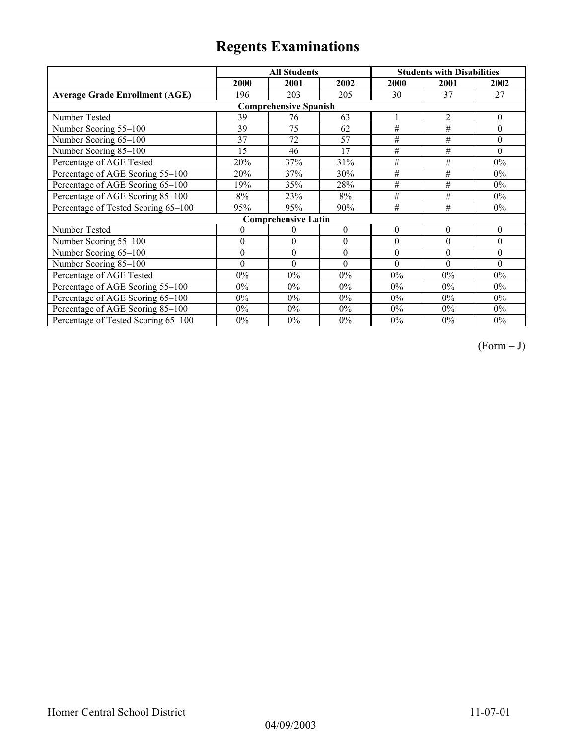|                                       |                  | <b>All Students</b>          |          |                  | <b>Students with Disabilities</b> |                  |
|---------------------------------------|------------------|------------------------------|----------|------------------|-----------------------------------|------------------|
|                                       | 2000             | 2001                         | 2002     | 2000             | 2001                              | 2002             |
| <b>Average Grade Enrollment (AGE)</b> | 196              | 203                          | 205      | 30               | 37                                | 27               |
|                                       |                  | <b>Comprehensive Spanish</b> |          |                  |                                   |                  |
| Number Tested                         | 39               | 76                           | 63       |                  | $\overline{2}$                    | $\theta$         |
| Number Scoring 55-100                 | 39               | 75                           | 62       | $\overline{H}$   | $\#$                              | $\boldsymbol{0}$ |
| Number Scoring 65-100                 | 37               | 72                           | 57       | #                | #                                 | $\theta$         |
| Number Scoring 85-100                 | 15               | 46                           | 17       | #                | #                                 | $\Omega$         |
| Percentage of AGE Tested              | 20%              | 37%                          | 31%      | $\#$             | #                                 | $0\%$            |
| Percentage of AGE Scoring 55-100      | 20%              | 37%                          | 30%      | $\#$             | #                                 | $0\%$            |
| Percentage of AGE Scoring 65-100      | 19%              | 35%                          | 28%      | #                | #                                 | $0\%$            |
| Percentage of AGE Scoring 85-100      | 8%               | 23%                          | 8%       | #                | #                                 | 0%               |
| Percentage of Tested Scoring 65-100   | 95%              | 95%                          | 90%      | #                | #                                 | $0\%$            |
|                                       |                  | <b>Comprehensive Latin</b>   |          |                  |                                   |                  |
| Number Tested                         | $\mathbf{0}$     | 0                            | $\theta$ | $\boldsymbol{0}$ | $\theta$                          | $\theta$         |
| Number Scoring 55-100                 | $\theta$         | $\theta$                     | $\theta$ | $\theta$         | $\theta$                          | $\theta$         |
| Number Scoring 65-100                 | $\boldsymbol{0}$ | $\theta$                     | $\theta$ | $\theta$         | $\theta$                          | $\theta$         |
| Number Scoring 85-100                 | $\theta$         | $\theta$                     | $\theta$ | $\theta$         | $\theta$                          | $\Omega$         |
| Percentage of AGE Tested              | $0\%$            | $0\%$                        | $0\%$    | $0\%$            | $0\%$                             | $0\%$            |
| Percentage of AGE Scoring 55-100      | $0\%$            | $0\%$                        | $0\%$    | $0\%$            | $0\%$                             | $0\%$            |
| Percentage of AGE Scoring 65-100      | $0\%$            | $0\%$                        | $0\%$    | 0%               | $0\%$                             | $0\%$            |
| Percentage of AGE Scoring 85-100      | $0\%$            | $0\%$                        | $0\%$    | 0%               | $0\%$                             | $0\%$            |
| Percentage of Tested Scoring 65-100   | $0\%$            | $0\%$                        | $0\%$    | $0\%$            | $0\%$                             | $0\%$            |

 $(Form - J)$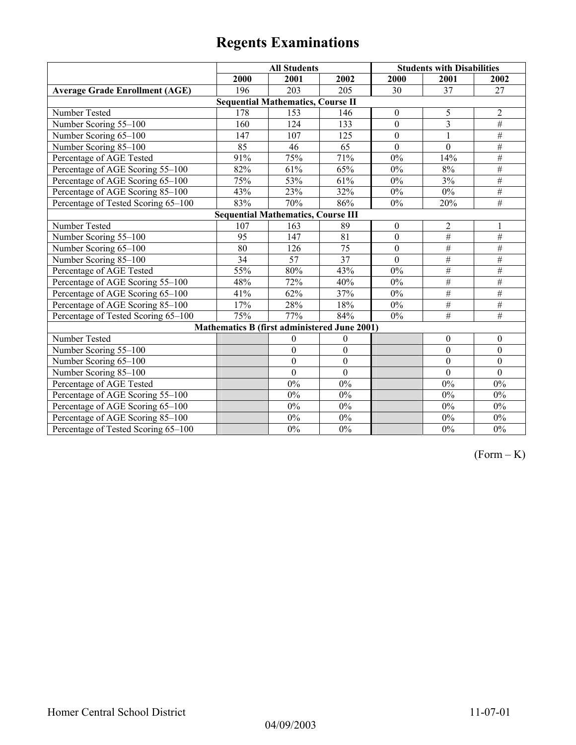|                                           | <b>All Students</b>                          |                                          |                  | <b>Students with Disabilities</b> |                  |                  |
|-------------------------------------------|----------------------------------------------|------------------------------------------|------------------|-----------------------------------|------------------|------------------|
|                                           | 2000                                         | 2001                                     | 2002             | 2000                              | 2001             | 2002             |
| <b>Average Grade Enrollment (AGE)</b>     | 196                                          | 203                                      | 205              | 30                                | 37               | 27               |
|                                           |                                              | <b>Sequential Mathematics, Course II</b> |                  |                                   |                  |                  |
| Number Tested                             | 178                                          | 153                                      | 146              | $\boldsymbol{0}$                  | 5                | $\overline{c}$   |
| Number Scoring 55-100                     | 160                                          | 124                                      | 133              | $\mathbf{0}$                      | $\overline{3}$   | $\#$             |
| Number Scoring 65-100                     | 147                                          | 107                                      | 125              | $\overline{0}$                    | 1                | $\#$             |
| Number Scoring 85-100                     | 85                                           | 46                                       | 65               | $\mathbf{0}$                      | $\overline{0}$   | $\#$             |
| Percentage of AGE Tested                  | 91%                                          | 75%                                      | 71%              | $0\%$                             | 14%              | $\#$             |
| Percentage of AGE Scoring 55-100          | 82%                                          | 61%                                      | 65%              | 0%                                | 8%               | $\#$             |
| Percentage of AGE Scoring 65-100          | 75%                                          | 53%                                      | 61%              | $0\%$                             | 3%               | $\#$             |
| Percentage of AGE Scoring 85-100          | 43%                                          | 23%                                      | 32%              | 0%                                | $0\%$            | $\overline{\#}$  |
| Percentage of Tested Scoring 65-100       | 83%                                          | 70%                                      | 86%              | $0\%$                             | 20%              | $\overline{\#}$  |
| <b>Sequential Mathematics, Course III</b> |                                              |                                          |                  |                                   |                  |                  |
| Number Tested                             | 107                                          | 163                                      | 89               | $\boldsymbol{0}$                  | $\overline{2}$   | 1                |
| Number Scoring 55-100                     | 95                                           | 147                                      | 81               | $\mathbf{0}$                      | #                | $\overline{\#}$  |
| Number Scoring 65-100                     | 80                                           | 126                                      | 75               | $\mathbf{0}$                      | $\overline{\#}$  | $\#$             |
| Number Scoring 85-100                     | 34                                           | 57                                       | $\overline{37}$  | $\mathbf{0}$                      | $\overline{\#}$  | #                |
| Percentage of AGE Tested                  | 55%                                          | 80%                                      | 43%              | $0\%$                             | $\overline{\#}$  | #                |
| Percentage of AGE Scoring 55-100          | 48%                                          | 72%                                      | 40%              | $0\%$                             | $\overline{\#}$  | #                |
| Percentage of AGE Scoring 65-100          | 41%                                          | 62%                                      | 37%              | $0\%$                             | $\overline{\#}$  | #                |
| Percentage of AGE Scoring 85-100          | 17%                                          | 28%                                      | 18%              | $0\%$                             | $\overline{\#}$  | $\overline{\#}$  |
| Percentage of Tested Scoring 65-100       | 75%                                          | 77%                                      | 84%              | $0\%$                             | $\overline{\#}$  | $\overline{\#}$  |
|                                           | Mathematics B (first administered June 2001) |                                          |                  |                                   |                  |                  |
| Number Tested                             |                                              | $\boldsymbol{0}$                         | $\boldsymbol{0}$ |                                   | $\boldsymbol{0}$ | $\boldsymbol{0}$ |
| Number Scoring 55-100                     |                                              | $\boldsymbol{0}$                         | $\boldsymbol{0}$ |                                   | $\mathbf{0}$     | $\boldsymbol{0}$ |
| Number Scoring 65-100                     |                                              | $\boldsymbol{0}$                         | $\boldsymbol{0}$ |                                   | $\boldsymbol{0}$ | $\boldsymbol{0}$ |
| Number Scoring 85-100                     |                                              | $\mathbf{0}$                             | $\mathbf{0}$     |                                   | $\theta$         | $\mathbf{0}$     |
| Percentage of AGE Tested                  |                                              | 0%                                       | $0\%$            |                                   | $0\%$            | $0\%$            |
| Percentage of AGE Scoring 55-100          |                                              | 0%                                       | $0\%$            |                                   | $0\%$            | $0\%$            |
| Percentage of AGE Scoring 65-100          |                                              | 0%                                       | $0\%$            |                                   | $0\%$            | $0\%$            |
| Percentage of AGE Scoring 85-100          |                                              | $0\%$                                    | $0\%$            |                                   | $0\%$            | $0\%$            |
| Percentage of Tested Scoring 65-100       |                                              | $0\%$                                    | $0\%$            |                                   | $0\%$            | $0\%$            |

 $(Form - K)$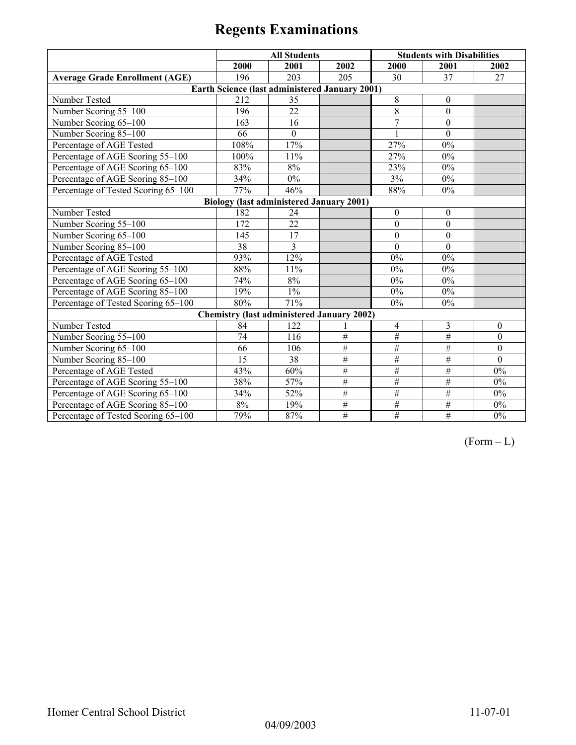|                                       | <b>All Students</b> |                                                 |                                                   | <b>Students with Disabilities</b> |                  |              |
|---------------------------------------|---------------------|-------------------------------------------------|---------------------------------------------------|-----------------------------------|------------------|--------------|
|                                       | 2000                | 2001                                            | 2002                                              | 2000                              | 2001             | 2002         |
| <b>Average Grade Enrollment (AGE)</b> | 196                 | 203                                             | 205                                               | 30                                | 37               | 27           |
|                                       |                     |                                                 | Earth Science (last administered January 2001)    |                                   |                  |              |
| Number Tested                         | 212                 | 35                                              |                                                   | 8                                 | $\boldsymbol{0}$ |              |
| Number Scoring 55-100                 | 196                 | 22                                              |                                                   | $\overline{8}$                    | $\mathbf{0}$     |              |
| Number Scoring 65-100                 | 163                 | 16                                              |                                                   | $\overline{7}$                    | $\mathbf{0}$     |              |
| Number Scoring 85-100                 | 66                  | $\mathbf{0}$                                    |                                                   |                                   | $\Omega$         |              |
| Percentage of AGE Tested              | 108%                | 17%                                             |                                                   | 27%                               | $0\%$            |              |
| Percentage of AGE Scoring 55-100      | 100%                | 11%                                             |                                                   | 27%                               | $0\%$            |              |
| Percentage of AGE Scoring 65-100      | 83%                 | 8%                                              |                                                   | 23%                               | $0\%$            |              |
| Percentage of AGE Scoring 85-100      | 34%                 | $0\%$                                           |                                                   | 3%                                | $0\%$            |              |
| Percentage of Tested Scoring 65-100   | 77%                 | 46%                                             |                                                   | 88%                               | $0\%$            |              |
|                                       |                     | <b>Biology (last administered January 2001)</b> |                                                   |                                   |                  |              |
| Number Tested                         | 182                 | 24                                              |                                                   | $\mathbf{0}$                      | $\boldsymbol{0}$ |              |
| Number Scoring 55-100                 | 172                 | 22                                              |                                                   | $\theta$                          | $\mathbf{0}$     |              |
| Number Scoring 65-100                 | 145                 | 17                                              |                                                   | $\Omega$                          | $\mathbf{0}$     |              |
| Number Scoring 85-100                 | 38                  | 3                                               |                                                   | $\mathbf{0}$                      | $\mathbf{0}$     |              |
| Percentage of AGE Tested              | 93%                 | 12%                                             |                                                   | 0%                                | $0\%$            |              |
| Percentage of AGE Scoring 55-100      | 88%                 | 11%                                             |                                                   | 0%                                | $0\%$            |              |
| Percentage of AGE Scoring 65-100      | 74%                 | 8%                                              |                                                   | $0\%$                             | $0\%$            |              |
| Percentage of AGE Scoring 85-100      | 19%                 | $1\%$                                           |                                                   | 0%                                | $0\%$            |              |
| Percentage of Tested Scoring 65-100   | 80%                 | 71%                                             |                                                   | 0%                                | $0\%$            |              |
|                                       |                     |                                                 | <b>Chemistry (last administered January 2002)</b> |                                   |                  |              |
| Number Tested                         | 84                  | 122                                             |                                                   | $\overline{4}$                    | 3                | $\theta$     |
| Number Scoring 55-100                 | 74                  | 116                                             | $\overline{\#}$                                   | $\overline{\#}$                   | #                | $\theta$     |
| Number Scoring 65-100                 | 66                  | 106                                             | $\overline{\#}$                                   | #                                 | #                | $\mathbf{0}$ |
| Number Scoring 85-100                 | 15                  | 38                                              | $\#$                                              | $\overline{\#}$                   | $\overline{\#}$  | $\mathbf{0}$ |
| Percentage of AGE Tested              | 43%                 | 60%                                             | $\overline{\#}$                                   | $\overline{\#}$                   | $\#$             | 0%           |
| Percentage of AGE Scoring 55-100      | 38%                 | 57%                                             | $\overline{\#}$                                   | #                                 | $\overline{\#}$  | $0\%$        |
| Percentage of AGE Scoring 65-100      | 34%                 | 52%                                             | $\#$                                              | #                                 | #                | $0\%$        |
| Percentage of AGE Scoring 85-100      | $8\%$               | 19%                                             | $\#$                                              | $\overline{\#}$                   | #                | $0\%$        |
| Percentage of Tested Scoring 65-100   | 79%                 | 87%                                             | #                                                 | $\overline{\#}$                   | $\#$             | $0\%$        |

 $(Form - L)$ 

04/09/2003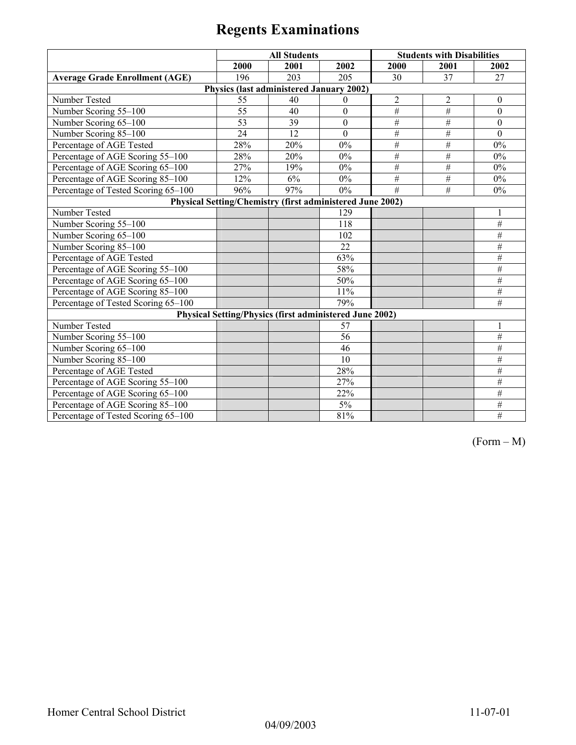|                                       | <b>All Students</b> |                                          |                                                                | <b>Students with Disabilities</b> |                 |                  |
|---------------------------------------|---------------------|------------------------------------------|----------------------------------------------------------------|-----------------------------------|-----------------|------------------|
|                                       | 2000                | 2001                                     | 2002                                                           | 2000                              | 2001            | 2002             |
| <b>Average Grade Enrollment (AGE)</b> | 196                 | 203                                      | 205                                                            | 30                                | 37              | 27               |
|                                       |                     | Physics (last administered January 2002) |                                                                |                                   |                 |                  |
| Number Tested                         | 55                  | 40                                       | $\theta$                                                       | $\sqrt{2}$                        | $\overline{2}$  | $\boldsymbol{0}$ |
| Number Scoring 55-100                 | 55                  | 40                                       | $\mathbf{0}$                                                   | $\#$                              | $\#$            | $\mathbf{0}$     |
| Number Scoring 65-100                 | 53                  | 39                                       | $\boldsymbol{0}$                                               | $\#$                              | $\overline{\#}$ | $\boldsymbol{0}$ |
| Number Scoring 85-100                 | 24                  | 12                                       | $\mathbf{0}$                                                   | $\#$                              | $\#$            | $\theta$         |
| Percentage of AGE Tested              | 28%                 | 20%                                      | $0\%$                                                          | #                                 | $\#$            | $0\%$            |
| Percentage of AGE Scoring 55-100      | 28%                 | 20%                                      | $0\%$                                                          | $\#$                              | $\#$            | $0\%$            |
| Percentage of AGE Scoring 65-100      | 27%                 | 19%                                      | $0\%$                                                          | $\#$                              | $\#$            | $0\%$            |
| Percentage of AGE Scoring 85-100      | 12%                 | 6%                                       | 0%                                                             | $\#$                              | $\#$            | $0\%$            |
| Percentage of Tested Scoring 65-100   | 96%                 | 97%                                      | $0\%$                                                          | #                                 | $\overline{H}$  | 0%               |
|                                       |                     |                                          | Physical Setting/Chemistry (first administered June 2002)      |                                   |                 |                  |
| Number Tested                         |                     |                                          | 129                                                            |                                   |                 |                  |
| Number Scoring 55-100                 |                     |                                          | 118                                                            |                                   |                 | #                |
| Number Scoring 65-100                 |                     |                                          | 102                                                            |                                   |                 | $\#$             |
| Number Scoring 85-100                 |                     |                                          | 22                                                             |                                   |                 | $\#$             |
| Percentage of AGE Tested              |                     |                                          | 63%                                                            |                                   |                 | #                |
| Percentage of AGE Scoring 55-100      |                     |                                          | 58%                                                            |                                   |                 | $\#$             |
| Percentage of AGE Scoring 65-100      |                     |                                          | 50%                                                            |                                   |                 | #                |
| Percentage of AGE Scoring 85-100      |                     |                                          | 11%                                                            |                                   |                 | $\#$             |
| Percentage of Tested Scoring 65-100   |                     |                                          | 79%                                                            |                                   |                 | #                |
|                                       |                     |                                          | <b>Physical Setting/Physics (first administered June 2002)</b> |                                   |                 |                  |
| Number Tested                         |                     |                                          | 57                                                             |                                   |                 |                  |
| Number Scoring 55-100                 |                     |                                          | 56                                                             |                                   |                 | $\overline{\#}$  |
| Number Scoring 65-100                 |                     |                                          | 46                                                             |                                   |                 | #                |
| Number Scoring 85-100                 |                     |                                          | 10                                                             |                                   |                 | $\#$             |
| Percentage of AGE Tested              |                     |                                          | 28%                                                            |                                   |                 | $\#$             |
| Percentage of AGE Scoring 55-100      |                     |                                          | 27%                                                            |                                   |                 | $\overline{\#}$  |
| Percentage of AGE Scoring 65-100      |                     |                                          | 22%                                                            |                                   |                 | #                |
| Percentage of AGE Scoring 85-100      |                     |                                          | $5\%$                                                          |                                   |                 | #                |
| Percentage of Tested Scoring 65-100   |                     |                                          | 81%                                                            |                                   |                 | #                |

(Form – M)

04/09/2003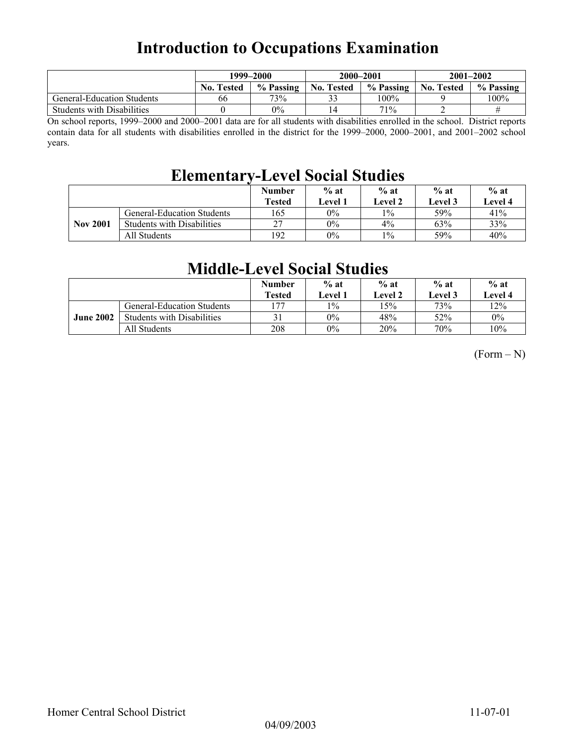## **Introduction to Occupations Examination**

|                                   | 1999–2000         |           |                   | 2000-2001 | $2001 - 2002$     |           |
|-----------------------------------|-------------------|-----------|-------------------|-----------|-------------------|-----------|
|                                   | <b>No. Tested</b> | % Passing | <b>No. Tested</b> | % Passing | <b>No. Tested</b> | % Passing |
| <b>General-Education Students</b> | 66                | 73%       | 32                | 100%      |                   | 100%      |
| <b>Students with Disabilities</b> |                   | $0\%$     |                   | 71%       |                   |           |

On school reports, 1999–2000 and 2000–2001 data are for all students with disabilities enrolled in the school. District reports contain data for all students with disabilities enrolled in the district for the 1999–2000, 2000–2001, and 2001–2002 school years.

## **Elementary-Level Social Studies**

|                 |                                   | <b>Number</b><br><b>Tested</b> | $%$ at<br><b>Level 1</b> | $%$ at<br>Level 2 | $%$ at<br>Level 3 | $%$ at<br>Level 4 |
|-----------------|-----------------------------------|--------------------------------|--------------------------|-------------------|-------------------|-------------------|
|                 | General-Education Students        | 165                            | $0\%$                    | $1\%$             | 59%               | 41%               |
| <b>Nov 2001</b> | <b>Students with Disabilities</b> | 27                             | $0\%$                    | 4%                | 63%               | 33%               |
|                 | All Students                      | 192                            | $0\%$                    | $1\%$             | 59%               | 40%               |

## **Middle-Level Social Studies**

|                  |                                   | <b>Number</b><br><b>Tested</b> | $%$ at<br>Level 1 | $%$ at<br>Level 2 | $%$ at<br>Level 3 | $%$ at<br>Level 4 |
|------------------|-----------------------------------|--------------------------------|-------------------|-------------------|-------------------|-------------------|
|                  | General-Education Students        | 177                            | $1\%$             | 15%               | 73%               | 12%               |
| <b>June 2002</b> | <b>Students with Disabilities</b> | 31                             | $0\%$             | 48%               | <b>52%</b>        | $0\%$             |
|                  | All Students                      | 208                            | $0\%$             | 20%               | 70%               | 10%               |

 $(Form - N)$